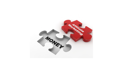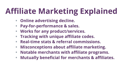# Affiliate Marketing Explained

- Online advertising decline.
- Pay-for-performance & sales.
- Works for any product/services.
- Tracking with unique affiliate codes.
- Real-time stats & referral commissions.
- Misconceptions about affiliate marketing.
- Notable merchants with affiliate programs.
- Mutually beneficial for merchants & affiliates.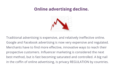### Online advertising decline.



Traditional advertising is expensive, and relatively ineffective online. Google and Facebook advertising is now very expensive and regulated. Merchants have to find more effective, innovative ways to reach their prospective customers. Influencer marketing is considered the next best method, but is fast becoming saturated and controlled. A big nail in the coffin of online advertising, is privacy REGULATION by countries.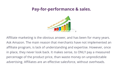### Pay-for-performance & sales.



Affiliate marketing is the obvious answer, and has been for many years. Ask Amazon. The main reason that merchants have not implemented an affiliate program, is lack of understanding and expertise. However, once in place, they never look back. It makes sense, to ONLY pay a measured percentage of the product price, than waste money on unpredictable advertising. Affiliates are an effective salesforce, without overheads.

- 
- 
- 

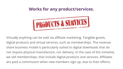## Works for any product/services.



Virtually anything can be sold via affiliate marketing. Tangible goods, digital products and virtual services, such as memberships. The revenue share business model is particularly suited to digital downloads that do not require physical manufacture, nor delivery. In the case of this initiative, we sell memberships, that include digital products and services. Affiliates are paid a commission when new members sign up, due to their efforts.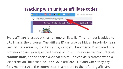## Tracking with unique affiliate codes.



Every affiliate is issued with an unique affiliate ID. This number is added to URL links in the browser. The affiliate ID can also be hidden in sub-domains, permalinks, redirects, graphics and QR codes. The affiliate ID is stored in a browser cookie, for a specified period of time. In our case, we pay lifetime commissions, so the cookie *does not expire*. The cookie is created when a user clicks on URLs that include a valid affiliate ID. If and when they pay for a membership, the commission is allocated to the referring affiliate.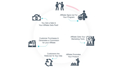



Affiliate Signs Up For Your Program

You Get a Sale & Your Affiliate Gets Paid!



**Customer Purchases &** Generates a Commision for your Affiliate

**Customers Are** Referred To Your Site



Affiliate Promotes Your Product





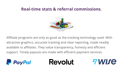### Real-time stats & referral commissions.



Affiliate programs are only as good as the tracking technology used. With attractive graphics, accurate tracking and clear reporting, made readily available to affiliates. They value transparency, honesty and efficient support. Timely payouts are made with efficient payment services.

Revolut



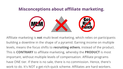### Misconceptions about affiliate marketing.



Affiliate marketing is not multi-level marketing, which relies on participants building a downline in the shape of a pyramid. Earning income on multiple levels, means the focus shifts to recruiting others, instead of the product. This is CONTRARY to affiliate marketing, whereby the PRODUCT is most important, without multiple levels of compensation. Affiliate programs have ONE tier. If there is no sale, there is no commission. Hence, there's work to do. It's NOT a get-rich-quick scheme. Affiliates are hard workers.

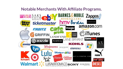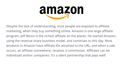# amazon

Despite the lack of understanding, most people are exposed to affiliate marketing, when they buy something online. Amazon is one large affiliate program. Jeff Bezos is the richest affiliate on the planet. He started Amazon, using the revenue share business model, and continues to this day. Most products in Amazon have affiliate IDs attached to the URL, and when a sale occurs, an affiliate somewhere, receives a commission. Affiliates can be individuals and/or companies. It's a silent partnership that pays well!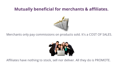### Mutually beneficial for merchants & affiliates.



### Merchants only pay commissions on products sold. It's a COST OF SALES.



Affiliates have nothing to stock, sell nor deliver. All they do is PROMOTE.